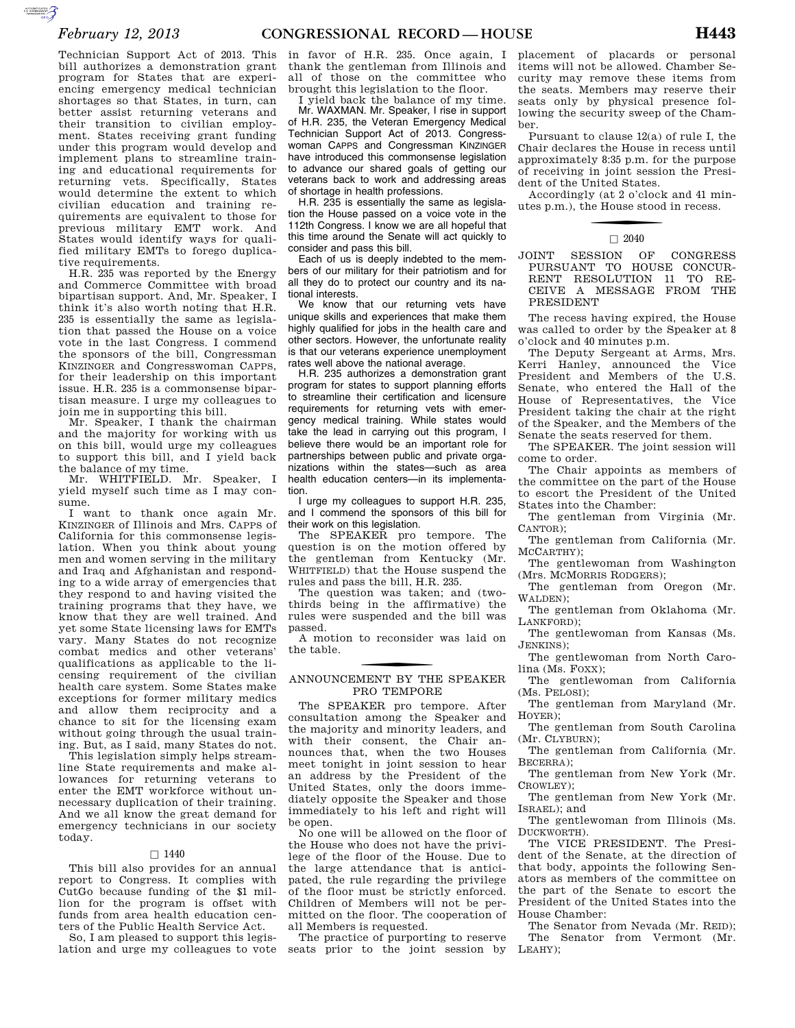Technician Support Act of 2013. This bill authorizes a demonstration grant program for States that are experiencing emergency medical technician shortages so that States, in turn, can better assist returning veterans and their transition to civilian employment. States receiving grant funding under this program would develop and implement plans to streamline training and educational requirements for returning vets. Specifically, States would determine the extent to which civilian education and training requirements are equivalent to those for previous military EMT work. And States would identify ways for qualified military EMTs to forego duplicative requirements.

H.R. 235 was reported by the Energy and Commerce Committee with broad bipartisan support. And, Mr. Speaker, I think it's also worth noting that H.R. 235 is essentially the same as legislation that passed the House on a voice vote in the last Congress. I commend the sponsors of the bill, Congressman KINZINGER and Congresswoman CAPPS, for their leadership on this important issue. H.R. 235 is a commonsense bipartisan measure. I urge my colleagues to join me in supporting this bill.

Mr. Speaker, I thank the chairman and the majority for working with us on this bill, would urge my colleagues to support this bill, and I yield back the balance of my time.

Mr. WHITFIELD. Mr. Speaker, I yield myself such time as I may consume.

I want to thank once again Mr. KINZINGER of Illinois and Mrs. CAPPS of California for this commonsense legislation. When you think about young men and women serving in the military and Iraq and Afghanistan and responding to a wide array of emergencies that they respond to and having visited the training programs that they have, we know that they are well trained. And yet some State licensing laws for EMTs vary. Many States do not recognize combat medics and other veterans' qualifications as applicable to the licensing requirement of the civilian health care system. Some States make exceptions for former military medics and allow them reciprocity and a chance to sit for the licensing exam without going through the usual training. But, as I said, many States do not.

This legislation simply helps streamline State requirements and make allowances for returning veterans to enter the EMT workforce without unnecessary duplication of their training. And we all know the great demand for emergency technicians in our society today.

#### $\Box$  1440

This bill also provides for an annual report to Congress. It complies with CutGo because funding of the \$1 million for the program is offset with funds from area health education centers of the Public Health Service Act.

So, I am pleased to support this legislation and urge my colleagues to vote

in favor of H.R. 235. Once again, I thank the gentleman from Illinois and all of those on the committee who brought this legislation to the floor.

I yield back the balance of my time. Mr. WAXMAN. Mr. Speaker, I rise in support of H.R. 235, the Veteran Emergency Medical Technician Support Act of 2013. Congresswoman CAPPS and Congressman KINZINGER have introduced this commonsense legislation to advance our shared goals of getting our veterans back to work and addressing areas of shortage in health professions.

H.R. 235 is essentially the same as legislation the House passed on a voice vote in the 112th Congress. I know we are all hopeful that this time around the Senate will act quickly to consider and pass this bill.

Each of us is deeply indebted to the members of our military for their patriotism and for all they do to protect our country and its national interests.

We know that our returning vets have unique skills and experiences that make them highly qualified for jobs in the health care and other sectors. However, the unfortunate reality is that our veterans experience unemployment rates well above the national average.

H.R. 235 authorizes a demonstration grant program for states to support planning efforts to streamline their certification and licensure requirements for returning vets with emergency medical training. While states would take the lead in carrying out this program, I believe there would be an important role for partnerships between public and private organizations within the states—such as area health education centers—in its implementation.

I urge my colleagues to support H.R. 235, and I commend the sponsors of this bill for their work on this legislation.

The SPEAKER pro tempore. The question is on the motion offered by the gentleman from Kentucky (Mr. WHITFIELD) that the House suspend the rules and pass the bill, H.R. 235.

The question was taken; and (twothirds being in the affirmative) the rules were suspended and the bill was passed.

A motion to reconsider was laid on the table.

### ANNOUNCEMENT BY THE SPEAKER PRO TEMPORE

The SPEAKER pro tempore. After consultation among the Speaker and the majority and minority leaders, and with their consent, the Chair announces that, when the two Houses meet tonight in joint session to hear an address by the President of the United States, only the doors immediately opposite the Speaker and those immediately to his left and right will be open.

No one will be allowed on the floor of the House who does not have the privilege of the floor of the House. Due to the large attendance that is anticipated, the rule regarding the privilege of the floor must be strictly enforced. Children of Members will not be permitted on the floor. The cooperation of all Members is requested.

The practice of purporting to reserve seats prior to the joint session by LEAHY);

placement of placards or personal items will not be allowed. Chamber Security may remove these items from the seats. Members may reserve their seats only by physical presence following the security sweep of the Chamber.

Pursuant to clause 12(a) of rule I, the Chair declares the House in recess until approximately 8:35 p.m. for the purpose of receiving in joint session the President of the United States.

Accordingly (at 2 o'clock and 41 minutes p.m.), the House stood in recess.

### $\Box$  2040

JOINT SESSION OF CONGRESS PURSUANT TO HOUSE CONCUR-RENT RESOLUTION 11 TO RE-CEIVE A MESSAGE FROM THE PRESIDENT

The recess having expired, the House was called to order by the Speaker at 8 o'clock and 40 minutes p.m.

The Deputy Sergeant at Arms, Mrs. Kerri Hanley, announced the Vice President and Members of the U.S. Senate, who entered the Hall of the House of Representatives, the Vice President taking the chair at the right of the Speaker, and the Members of the Senate the seats reserved for them.

The SPEAKER. The joint session will come to order.

The Chair appoints as members of the committee on the part of the House to escort the President of the United States into the Chamber:

The gentleman from Virginia (Mr. CANTOR);

The gentleman from California (Mr. MCCARTHY);

The gentlewoman from Washington (Mrs. MCMORRIS RODGERS);

The gentleman from Oregon (Mr. WALDEN);

The gentleman from Oklahoma (Mr. LANKFORD);

The gentlewoman from Kansas (Ms. JENKINS);

The gentlewoman from North Carolina (Ms. FOXX);

The gentlewoman from California (Ms. PELOSI);

The gentleman from Maryland (Mr. HOYER);

The gentleman from South Carolina (Mr. CLYBURN);

The gentleman from California (Mr. BECERRA);

The gentleman from New York (Mr. CROWLEY);

The gentleman from New York (Mr. ISRAEL); and

The gentlewoman from Illinois (Ms. DUCKWORTH).

The VICE PRESIDENT. The President of the Senate, at the direction of that body, appoints the following Senators as members of the committee on the part of the Senate to escort the President of the United States into the House Chamber:

The Senator from Nevada (Mr. REID); The Senator from Vermont (Mr.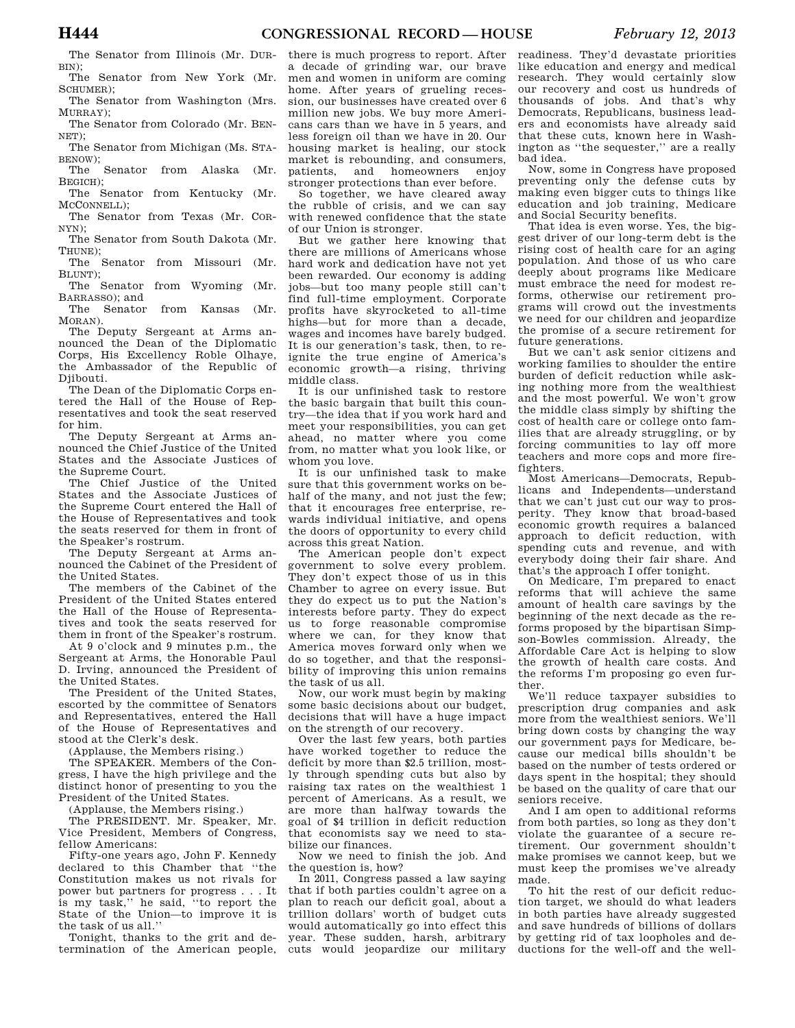The Senator from Illinois (Mr. DUR-BIN);

The Senator from New York (Mr. SCHUMER);

The Senator from Washington (Mrs. MURRAY);

The Senator from Colorado (Mr. BEN-NET);

The Senator from Michigan (Ms. STA-BENOW);

The Senator from Alaska (Mr. BEGICH);

The Senator from Kentucky (Mr. MCCONNELL);

The Senator from Texas (Mr. COR-NYN);

The Senator from South Dakota (Mr. THUNE);

The Senator from Missouri (Mr. BLUNT);

The Senator from Wyoming (Mr. BARRASSO); and

The Senator from Kansas (Mr. MORAN).

The Deputy Sergeant at Arms announced the Dean of the Diplomatic Corps, His Excellency Roble Olhaye, the Ambassador of the Republic of Diibouti.

The Dean of the Diplomatic Corps entered the Hall of the House of Representatives and took the seat reserved for him.

The Deputy Sergeant at Arms announced the Chief Justice of the United States and the Associate Justices of the Supreme Court.

The Chief Justice of the United States and the Associate Justices of the Supreme Court entered the Hall of the House of Representatives and took the seats reserved for them in front of the Speaker's rostrum.

The Deputy Sergeant at Arms announced the Cabinet of the President of the United States.

The members of the Cabinet of the President of the United States entered the Hall of the House of Representatives and took the seats reserved for them in front of the Speaker's rostrum.

At 9 o'clock and 9 minutes p.m., the Sergeant at Arms, the Honorable Paul D. Irving, announced the President of the United States.

The President of the United States, escorted by the committee of Senators and Representatives, entered the Hall of the House of Representatives and stood at the Clerk's desk.

(Applause, the Members rising.)

The SPEAKER. Members of the Congress, I have the high privilege and the distinct honor of presenting to you the President of the United States.

(Applause, the Members rising.)

The PRESIDENT. Mr. Speaker, Mr. Vice President, Members of Congress, fellow Americans:

Fifty-one years ago, John F. Kennedy declared to this Chamber that ''the Constitution makes us not rivals for power but partners for progress . . . It is my task,'' he said, ''to report the State of the Union—to improve it is the task of us all.''

Tonight, thanks to the grit and determination of the American people,

there is much progress to report. After a decade of grinding war, our brave men and women in uniform are coming home. After years of grueling recession, our businesses have created over 6 million new jobs. We buy more Americans cars than we have in 5 years, and less foreign oil than we have in 20. Our housing market is healing, our stock market is rebounding, and consumers, patients, and homeowners enjoy stronger protections than ever before.

So together, we have cleared away the rubble of crisis, and we can say with renewed confidence that the state of our Union is stronger.

But we gather here knowing that there are millions of Americans whose hard work and dedication have not yet been rewarded. Our economy is adding jobs—but too many people still can't find full-time employment. Corporate profits have skyrocketed to all-time highs—but for more than a decade, wages and incomes have barely budged. It is our generation's task, then, to reignite the true engine of America's economic growth—a rising, thriving middle class.

It is our unfinished task to restore the basic bargain that built this country—the idea that if you work hard and meet your responsibilities, you can get ahead, no matter where you come from, no matter what you look like, or whom you love.

It is our unfinished task to make sure that this government works on behalf of the many, and not just the few; that it encourages free enterprise, rewards individual initiative, and opens the doors of opportunity to every child across this great Nation.

The American people don't expect government to solve every problem. They don't expect those of us in this Chamber to agree on every issue. But they do expect us to put the Nation's interests before party. They do expect us to forge reasonable compromise where we can, for they know that America moves forward only when we do so together, and that the responsibility of improving this union remains the task of us all.

Now, our work must begin by making some basic decisions about our budget, decisions that will have a huge impact on the strength of our recovery.

Over the last few years, both parties have worked together to reduce the deficit by more than \$2.5 trillion, mostly through spending cuts but also by raising tax rates on the wealthiest 1 percent of Americans. As a result, we are more than halfway towards the goal of \$4 trillion in deficit reduction that economists say we need to stabilize our finances.

Now we need to finish the job. And the question is, how?

In 2011, Congress passed a law saying that if both parties couldn't agree on a plan to reach our deficit goal, about a trillion dollars' worth of budget cuts would automatically go into effect this year. These sudden, harsh, arbitrary cuts would jeopardize our military

readiness. They'd devastate priorities like education and energy and medical research. They would certainly slow our recovery and cost us hundreds of thousands of jobs. And that's why Democrats, Republicans, business leaders and economists have already said that these cuts, known here in Washington as ''the sequester,'' are a really bad idea.

Now, some in Congress have proposed preventing only the defense cuts by making even bigger cuts to things like education and job training, Medicare and Social Security benefits.

That idea is even worse. Yes, the biggest driver of our long-term debt is the rising cost of health care for an aging population. And those of us who care deeply about programs like Medicare must embrace the need for modest reforms, otherwise our retirement programs will crowd out the investments we need for our children and jeopardize the promise of a secure retirement for future generations.

But we can't ask senior citizens and working families to shoulder the entire burden of deficit reduction while asking nothing more from the wealthiest and the most powerful. We won't grow the middle class simply by shifting the cost of health care or college onto families that are already struggling, or by forcing communities to lay off more teachers and more cops and more firefighters.

Most Americans—Democrats, Republicans and Independents—understand that we can't just cut our way to prosperity. They know that broad-based economic growth requires a balanced approach to deficit reduction, with spending cuts and revenue, and with everybody doing their fair share. And that's the approach I offer tonight.

On Medicare, I'm prepared to enact reforms that will achieve the same amount of health care savings by the beginning of the next decade as the reforms proposed by the bipartisan Simpson-Bowles commission. Already, the Affordable Care Act is helping to slow the growth of health care costs. And the reforms I'm proposing go even further.

We'll reduce taxpayer subsidies to prescription drug companies and ask more from the wealthiest seniors. We'll bring down costs by changing the way our government pays for Medicare, because our medical bills shouldn't be based on the number of tests ordered or days spent in the hospital; they should be based on the quality of care that our seniors receive.

And I am open to additional reforms from both parties, so long as they don't violate the guarantee of a secure retirement. Our government shouldn't make promises we cannot keep, but we must keep the promises we've already made.

To hit the rest of our deficit reduction target, we should do what leaders in both parties have already suggested and save hundreds of billions of dollars by getting rid of tax loopholes and deductions for the well-off and the well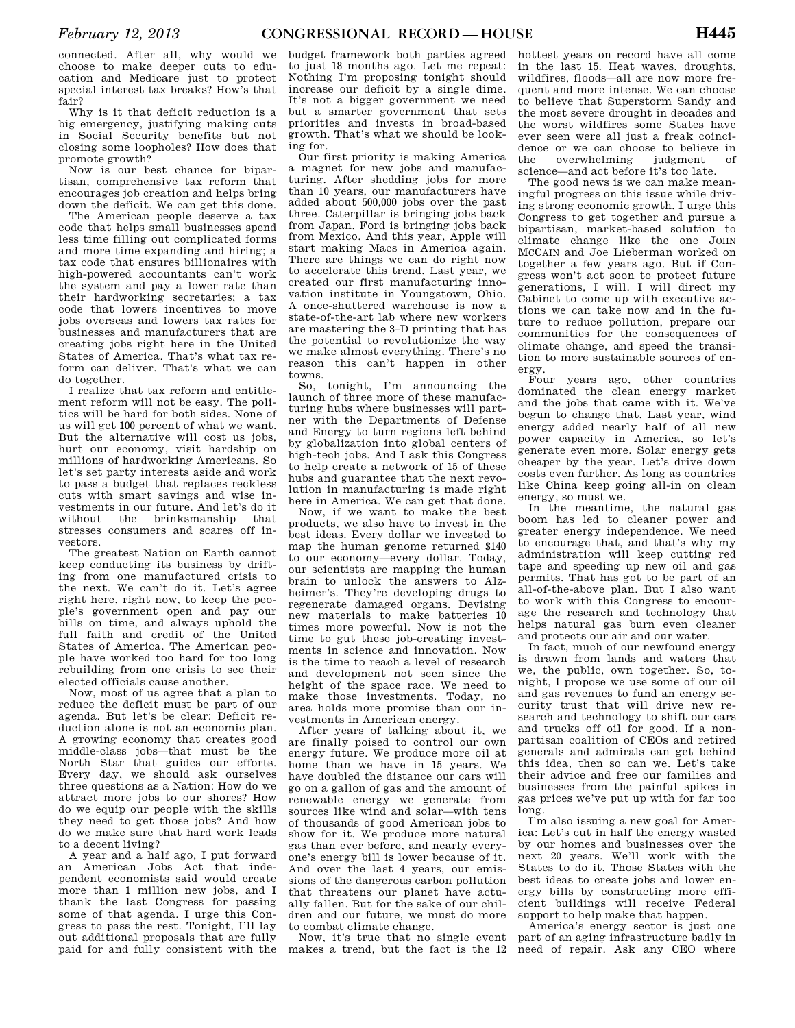connected. After all, why would we choose to make deeper cuts to education and Medicare just to protect special interest tax breaks? How's that fair?

Why is it that deficit reduction is a big emergency, justifying making cuts in Social Security benefits but not closing some loopholes? How does that promote growth?

Now is our best chance for bipartisan, comprehensive tax reform that encourages job creation and helps bring down the deficit. We can get this done.

The American people deserve a tax code that helps small businesses spend less time filling out complicated forms and more time expanding and hiring; a tax code that ensures billionaires with high-powered accountants can't work the system and pay a lower rate than their hardworking secretaries; a tax code that lowers incentives to move jobs overseas and lowers tax rates for businesses and manufacturers that are creating jobs right here in the United States of America. That's what tax reform can deliver. That's what we can do together.

I realize that tax reform and entitlement reform will not be easy. The politics will be hard for both sides. None of us will get 100 percent of what we want. But the alternative will cost us jobs, hurt our economy, visit hardship on millions of hardworking Americans. So let's set party interests aside and work to pass a budget that replaces reckless cuts with smart savings and wise investments in our future. And let's do it without the brinksmanship that stresses consumers and scares off investors.

The greatest Nation on Earth cannot keep conducting its business by drifting from one manufactured crisis to the next. We can't do it. Let's agree right here, right now, to keep the people's government open and pay our bills on time, and always uphold the full faith and credit of the United States of America. The American people have worked too hard for too long rebuilding from one crisis to see their elected officials cause another.

Now, most of us agree that a plan to reduce the deficit must be part of our agenda. But let's be clear: Deficit reduction alone is not an economic plan. A growing economy that creates good middle-class jobs—that must be the North Star that guides our efforts. Every day, we should ask ourselves three questions as a Nation: How do we attract more jobs to our shores? How do we equip our people with the skills they need to get those jobs? And how do we make sure that hard work leads to a decent living?

A year and a half ago, I put forward an American Jobs Act that independent economists said would create more than 1 million new jobs, and I thank the last Congress for passing some of that agenda. I urge this Congress to pass the rest. Tonight, I'll lay out additional proposals that are fully paid for and fully consistent with the

budget framework both parties agreed to just 18 months ago. Let me repeat: Nothing I'm proposing tonight should increase our deficit by a single dime. It's not a bigger government we need but a smarter government that sets priorities and invests in broad-based growth. That's what we should be looking for.

Our first priority is making America a magnet for new jobs and manufacturing. After shedding jobs for more than 10 years, our manufacturers have added about 500,000 jobs over the past three. Caterpillar is bringing jobs back from Japan. Ford is bringing jobs back from Mexico. And this year, Apple will start making Macs in America again. There are things we can do right now to accelerate this trend. Last year, we created our first manufacturing innovation institute in Youngstown, Ohio. A once-shuttered warehouse is now a state-of-the-art lab where new workers are mastering the 3–D printing that has the potential to revolutionize the way we make almost everything. There's no reason this can't happen in other towns.

So, tonight, I'm announcing the launch of three more of these manufacturing hubs where businesses will partner with the Departments of Defense and Energy to turn regions left behind by globalization into global centers of high-tech jobs. And I ask this Congress to help create a network of 15 of these hubs and guarantee that the next revolution in manufacturing is made right here in America. We can get that done.

Now, if we want to make the best products, we also have to invest in the best ideas. Every dollar we invested to map the human genome returned \$140 to our economy—every dollar. Today, our scientists are mapping the human brain to unlock the answers to Alzheimer's. They're developing drugs to regenerate damaged organs. Devising new materials to make batteries 10 times more powerful. Now is not the time to gut these job-creating investments in science and innovation. Now is the time to reach a level of research and development not seen since the height of the space race. We need to make those investments. Today, no area holds more promise than our investments in American energy.

After years of talking about it, we are finally poised to control our own energy future. We produce more oil at home than we have in 15 years. We have doubled the distance our cars will go on a gallon of gas and the amount of renewable energy we generate from sources like wind and solar—with tens of thousands of good American jobs to show for it. We produce more natural gas than ever before, and nearly everyone's energy bill is lower because of it. And over the last 4 years, our emissions of the dangerous carbon pollution that threatens our planet have actually fallen. But for the sake of our children and our future, we must do more to combat climate change.

Now, it's true that no single event

hottest years on record have all come in the last 15. Heat waves, droughts, wildfires, floods—all are now more frequent and more intense. We can choose to believe that Superstorm Sandy and the most severe drought in decades and the worst wildfires some States have ever seen were all just a freak coincidence or we can choose to believe in the overwhelming judgment of science—and act before it's too late.

The good news is we can make meaningful progress on this issue while driving strong economic growth. I urge this Congress to get together and pursue a bipartisan, market-based solution to climate change like the one JOHN MCCAIN and Joe Lieberman worked on together a few years ago. But if Congress won't act soon to protect future generations, I will. I will direct my Cabinet to come up with executive actions we can take now and in the future to reduce pollution, prepare our communities for the consequences of climate change, and speed the transition to more sustainable sources of energy.

Four years ago, other countries dominated the clean energy market and the jobs that came with it. We've begun to change that. Last year, wind energy added nearly half of all new power capacity in America, so let's generate even more. Solar energy gets cheaper by the year. Let's drive down costs even further. As long as countries like China keep going all-in on clean energy, so must we.

In the meantime, the natural gas boom has led to cleaner power and greater energy independence. We need to encourage that, and that's why my administration will keep cutting red tape and speeding up new oil and gas permits. That has got to be part of an all-of-the-above plan. But I also want to work with this Congress to encourage the research and technology that helps natural gas burn even cleaner and protects our air and our water.

In fact, much of our newfound energy is drawn from lands and waters that we, the public, own together. So, tonight, I propose we use some of our oil and gas revenues to fund an energy security trust that will drive new research and technology to shift our cars and trucks off oil for good. If a nonpartisan coalition of CEOs and retired generals and admirals can get behind this idea, then so can we. Let's take their advice and free our families and businesses from the painful spikes in gas prices we've put up with for far too long.

I'm also issuing a new goal for America: Let's cut in half the energy wasted by our homes and businesses over the next 20 years. We'll work with the States to do it. Those States with the best ideas to create jobs and lower energy bills by constructing more efficient buildings will receive Federal support to help make that happen.

makes a trend, but the fact is the 12 need of repair. Ask any CEO where America's energy sector is just one part of an aging infrastructure badly in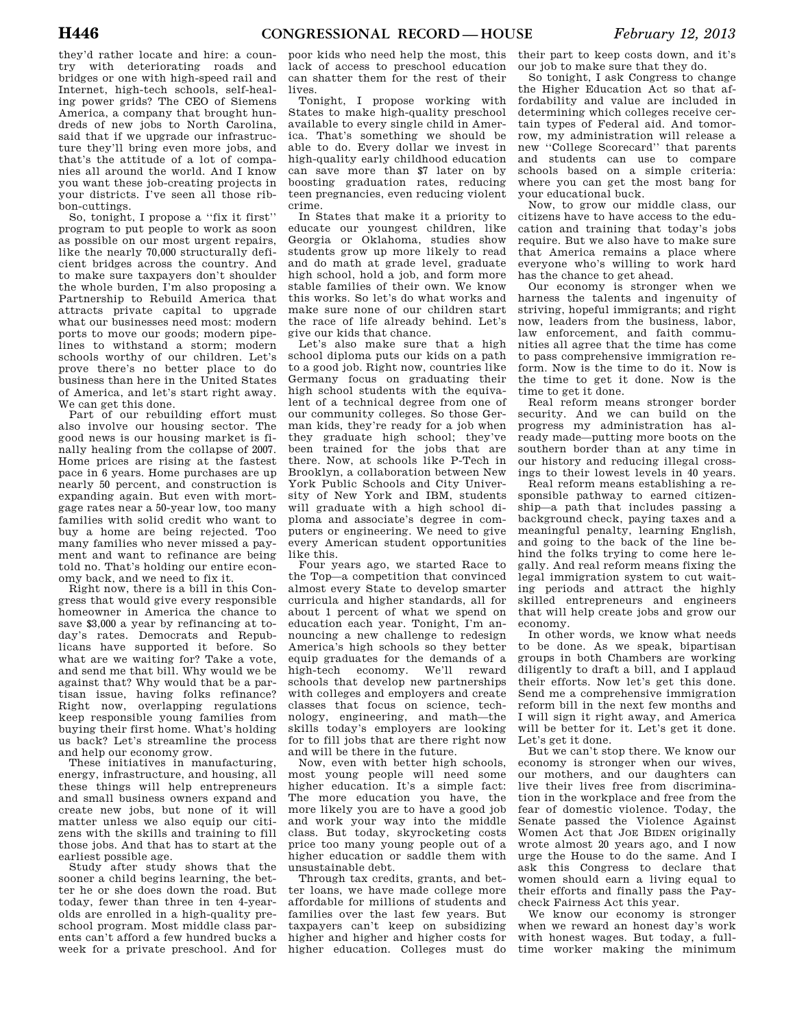they'd rather locate and hire: a country with deteriorating roads and bridges or one with high-speed rail and Internet, high-tech schools, self-healing power grids? The CEO of Siemens America, a company that brought hundreds of new jobs to North Carolina, said that if we upgrade our infrastructure they'll bring even more jobs, and that's the attitude of a lot of companies all around the world. And I know you want these job-creating projects in your districts. I've seen all those ribbon-cuttings.

So, tonight, I propose a ''fix it first'' program to put people to work as soon as possible on our most urgent repairs, like the nearly 70,000 structurally deficient bridges across the country. And to make sure taxpayers don't shoulder the whole burden, I'm also proposing a Partnership to Rebuild America that attracts private capital to upgrade what our businesses need most: modern ports to move our goods; modern pipelines to withstand a storm; modern schools worthy of our children. Let's prove there's no better place to do business than here in the United States of America, and let's start right away. We can get this done.

Part of our rebuilding effort must also involve our housing sector. The good news is our housing market is finally healing from the collapse of 2007. Home prices are rising at the fastest pace in 6 years. Home purchases are up nearly 50 percent, and construction is expanding again. But even with mortgage rates near a 50-year low, too many families with solid credit who want to buy a home are being rejected. Too many families who never missed a payment and want to refinance are being told no. That's holding our entire economy back, and we need to fix it.

Right now, there is a bill in this Congress that would give every responsible homeowner in America the chance to save \$3,000 a year by refinancing at today's rates. Democrats and Republicans have supported it before. So what are we waiting for? Take a vote, and send me that bill. Why would we be against that? Why would that be a partisan issue, having folks refinance? Right now, overlapping regulations keep responsible young families from buying their first home. What's holding us back? Let's streamline the process and help our economy grow.

These initiatives in manufacturing, energy, infrastructure, and housing, all these things will help entrepreneurs and small business owners expand and create new jobs, but none of it will matter unless we also equip our citizens with the skills and training to fill those jobs. And that has to start at the earliest possible age.

Study after study shows that the sooner a child begins learning, the better he or she does down the road. But today, fewer than three in ten 4-yearolds are enrolled in a high-quality preschool program. Most middle class parents can't afford a few hundred bucks a week for a private preschool. And for

poor kids who need help the most, this lack of access to preschool education can shatter them for the rest of their lives.

Tonight, I propose working with States to make high-quality preschool available to every single child in America. That's something we should be able to do. Every dollar we invest in high-quality early childhood education can save more than \$7 later on by boosting graduation rates, reducing teen pregnancies, even reducing violent crime.

In States that make it a priority to educate our youngest children, like Georgia or Oklahoma, studies show students grow up more likely to read and do math at grade level, graduate high school, hold a job, and form more stable families of their own. We know this works. So let's do what works and make sure none of our children start the race of life already behind. Let's give our kids that chance.

Let's also make sure that a high school diploma puts our kids on a path to a good job. Right now, countries like Germany focus on graduating their high school students with the equivalent of a technical degree from one of our community colleges. So those German kids, they're ready for a job when they graduate high school; they've been trained for the jobs that are there. Now, at schools like P-Tech in Brooklyn, a collaboration between New York Public Schools and City University of New York and IBM, students will graduate with a high school diploma and associate's degree in computers or engineering. We need to give every American student opportunities like this.

Four years ago, we started Race to the Top—a competition that convinced almost every State to develop smarter curricula and higher standards, all for about 1 percent of what we spend on education each year. Tonight, I'm announcing a new challenge to redesign America's high schools so they better equip graduates for the demands of a high-tech economy. We'll reward schools that develop new partnerships with colleges and employers and create classes that focus on science, technology, engineering, and math—the skills today's employers are looking for to fill jobs that are there right now and will be there in the future.

Now, even with better high schools, most young people will need some higher education. It's a simple fact: The more education you have, the more likely you are to have a good job and work your way into the middle class. But today, skyrocketing costs price too many young people out of a higher education or saddle them with unsustainable debt.

Through tax credits, grants, and better loans, we have made college more affordable for millions of students and families over the last few years. But taxpayers can't keep on subsidizing higher and higher and higher costs for higher education. Colleges must do

their part to keep costs down, and it's our job to make sure that they do.

So tonight, I ask Congress to change the Higher Education Act so that affordability and value are included in determining which colleges receive certain types of Federal aid. And tomorrow, my administration will release a new ''College Scorecard'' that parents and students can use to compare schools based on a simple criteria: where you can get the most bang for your educational buck.

Now, to grow our middle class, our citizens have to have access to the education and training that today's jobs require. But we also have to make sure that America remains a place where everyone who's willing to work hard has the chance to get ahead.

Our economy is stronger when we harness the talents and ingenuity of striving, hopeful immigrants; and right now, leaders from the business, labor, law enforcement, and faith communities all agree that the time has come to pass comprehensive immigration reform. Now is the time to do it. Now is the time to get it done. Now is the time to get it done.

Real reform means stronger border security. And we can build on the progress my administration has already made—putting more boots on the southern border than at any time in our history and reducing illegal crossings to their lowest levels in 40 years.

Real reform means establishing a responsible pathway to earned citizenship—a path that includes passing a background check, paying taxes and a meaningful penalty, learning English, and going to the back of the line behind the folks trying to come here legally. And real reform means fixing the legal immigration system to cut waiting periods and attract the highly skilled entrepreneurs and engineers that will help create jobs and grow our economy.

In other words, we know what needs to be done. As we speak, bipartisan groups in both Chambers are working diligently to draft a bill, and I applaud their efforts. Now let's get this done. Send me a comprehensive immigration reform bill in the next few months and I will sign it right away, and America will be better for it. Let's get it done. Let's get it done.

But we can't stop there. We know our economy is stronger when our wives, our mothers, and our daughters can live their lives free from discrimination in the workplace and free from the fear of domestic violence. Today, the Senate passed the Violence Against Women Act that JOE BIDEN originally wrote almost 20 years ago, and I now urge the House to do the same. And I ask this Congress to declare that women should earn a living equal to their efforts and finally pass the Paycheck Fairness Act this year.

We know our economy is stronger when we reward an honest day's work with honest wages. But today, a fulltime worker making the minimum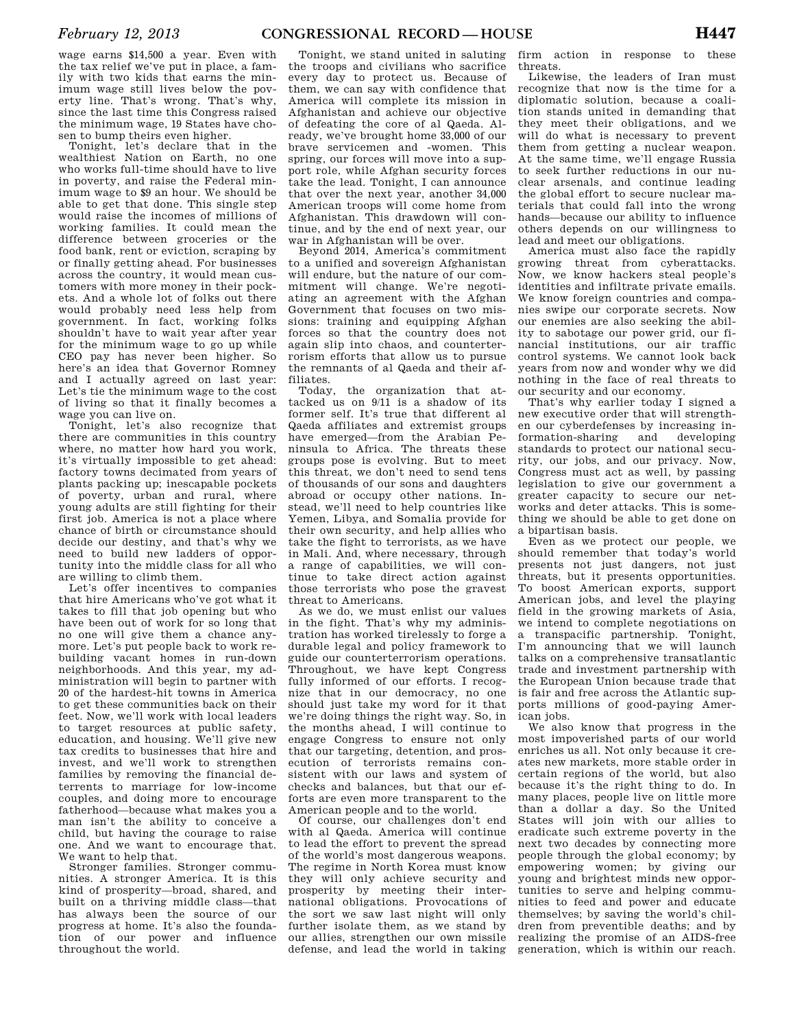wage earns \$14,500 a year. Even with the tax relief we've put in place, a family with two kids that earns the minimum wage still lives below the poverty line. That's wrong. That's why, since the last time this Congress raised the minimum wage, 19 States have chosen to bump theirs even higher.

Tonight, let's declare that in the wealthiest Nation on Earth, no one who works full-time should have to live in poverty, and raise the Federal minimum wage to \$9 an hour. We should be able to get that done. This single step would raise the incomes of millions of working families. It could mean the difference between groceries or the food bank, rent or eviction, scraping by or finally getting ahead. For businesses across the country, it would mean customers with more money in their pockets. And a whole lot of folks out there would probably need less help from government. In fact, working folks shouldn't have to wait year after year for the minimum wage to go up while CEO pay has never been higher. So here's an idea that Governor Romney and I actually agreed on last year: Let's tie the minimum wage to the cost of living so that it finally becomes a wage you can live on.

Tonight, let's also recognize that there are communities in this country where, no matter how hard you work, it's virtually impossible to get ahead: factory towns decimated from years of plants packing up; inescapable pockets of poverty, urban and rural, where young adults are still fighting for their first job. America is not a place where chance of birth or circumstance should decide our destiny, and that's why we need to build new ladders of opportunity into the middle class for all who are willing to climb them.

Let's offer incentives to companies that hire Americans who've got what it takes to fill that job opening but who have been out of work for so long that no one will give them a chance anymore. Let's put people back to work rebuilding vacant homes in run-down neighborhoods. And this year, my administration will begin to partner with 20 of the hardest-hit towns in America to get these communities back on their feet. Now, we'll work with local leaders to target resources at public safety, education, and housing. We'll give new tax credits to businesses that hire and invest, and we'll work to strengthen families by removing the financial deterrents to marriage for low-income couples, and doing more to encourage fatherhood—because what makes you a man isn't the ability to conceive a child, but having the courage to raise one. And we want to encourage that. We want to help that.

Stronger families. Stronger communities. A stronger America. It is this kind of prosperity—broad, shared, and built on a thriving middle class—that has always been the source of our progress at home. It's also the foundation of our power and influence throughout the world.

Tonight, we stand united in saluting the troops and civilians who sacrifice every day to protect us. Because of them, we can say with confidence that America will complete its mission in Afghanistan and achieve our objective of defeating the core of al Qaeda. Already, we've brought home 33,000 of our brave servicemen and -women. This spring, our forces will move into a support role, while Afghan security forces take the lead. Tonight, I can announce that over the next year, another 34,000 American troops will come home from Afghanistan. This drawdown will continue, and by the end of next year, our war in Afghanistan will be over.

Beyond 2014, America's commitment to a unified and sovereign Afghanistan will endure, but the nature of our commitment will change. We're negotiating an agreement with the Afghan Government that focuses on two missions: training and equipping Afghan forces so that the country does not again slip into chaos, and counterterrorism efforts that allow us to pursue the remnants of al Qaeda and their affiliates.

Today, the organization that attacked us on 9/11 is a shadow of its former self. It's true that different al Qaeda affiliates and extremist groups have emerged—from the Arabian Peninsula to Africa. The threats these groups pose is evolving. But to meet this threat, we don't need to send tens of thousands of our sons and daughters abroad or occupy other nations. Instead, we'll need to help countries like Yemen, Libya, and Somalia provide for their own security, and help allies who take the fight to terrorists, as we have in Mali. And, where necessary, through a range of capabilities, we will continue to take direct action against those terrorists who pose the gravest threat to Americans.

As we do, we must enlist our values in the fight. That's why my administration has worked tirelessly to forge a durable legal and policy framework to guide our counterterrorism operations. Throughout, we have kept Congress fully informed of our efforts. I recognize that in our democracy, no one should just take my word for it that we're doing things the right way. So, in the months ahead, I will continue to engage Congress to ensure not only that our targeting, detention, and prosecution of terrorists remains consistent with our laws and system of checks and balances, but that our efforts are even more transparent to the American people and to the world.

Of course, our challenges don't end with al Qaeda. America will continue to lead the effort to prevent the spread of the world's most dangerous weapons. The regime in North Korea must know they will only achieve security and prosperity by meeting their international obligations. Provocations of the sort we saw last night will only further isolate them, as we stand by our allies, strengthen our own missile defense, and lead the world in taking

firm action in response to these threats.

Likewise, the leaders of Iran must recognize that now is the time for a diplomatic solution, because a coalition stands united in demanding that they meet their obligations, and we will do what is necessary to prevent them from getting a nuclear weapon. At the same time, we'll engage Russia to seek further reductions in our nuclear arsenals, and continue leading the global effort to secure nuclear materials that could fall into the wrong hands—because our ability to influence others depends on our willingness to lead and meet our obligations.

America must also face the rapidly growing threat from cyberattacks. Now, we know hackers steal people's identities and infiltrate private emails. We know foreign countries and companies swipe our corporate secrets. Now our enemies are also seeking the ability to sabotage our power grid, our financial institutions, our air traffic control systems. We cannot look back years from now and wonder why we did nothing in the face of real threats to our security and our economy.

That's why earlier today I signed a new executive order that will strengthen our cyberdefenses by increasing information-sharing and developing standards to protect our national security, our jobs, and our privacy. Now, Congress must act as well, by passing legislation to give our government a greater capacity to secure our networks and deter attacks. This is something we should be able to get done on a bipartisan basis.

Even as we protect our people, we should remember that today's world presents not just dangers, not just threats, but it presents opportunities. To boost American exports, support American jobs, and level the playing field in the growing markets of Asia, we intend to complete negotiations on a transpacific partnership. Tonight, I'm announcing that we will launch talks on a comprehensive transatlantic trade and investment partnership with the European Union because trade that is fair and free across the Atlantic supports millions of good-paying American jobs.

We also know that progress in the most impoverished parts of our world enriches us all. Not only because it creates new markets, more stable order in certain regions of the world, but also because it's the right thing to do. In many places, people live on little more than a dollar a day. So the United States will join with our allies to eradicate such extreme poverty in the next two decades by connecting more people through the global economy; by empowering women; by giving our young and brightest minds new opportunities to serve and helping communities to feed and power and educate themselves; by saving the world's children from preventible deaths; and by realizing the promise of an AIDS-free generation, which is within our reach.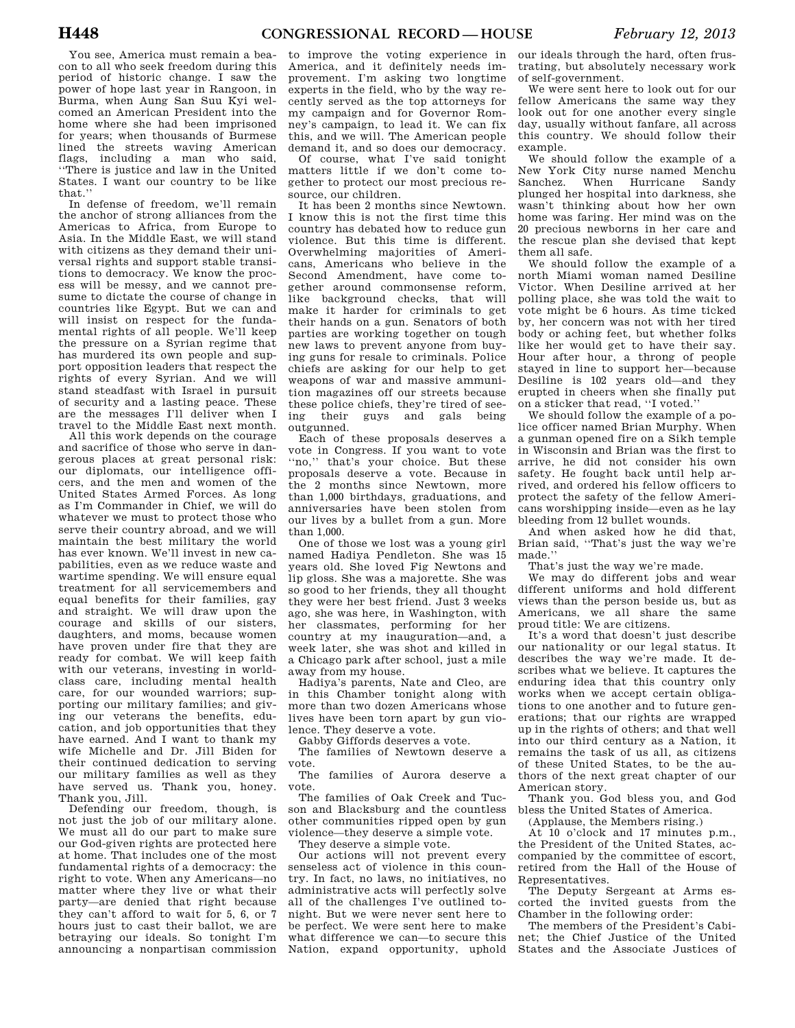You see, America must remain a beacon to all who seek freedom during this period of historic change. I saw the power of hope last year in Rangoon, in Burma, when Aung San Suu Kyi welcomed an American President into the home where she had been imprisoned for years; when thousands of Burmese lined the streets waving American flags, including a man who said, ''There is justice and law in the United States. I want our country to be like that.''

In defense of freedom, we'll remain the anchor of strong alliances from the Americas to Africa, from Europe to Asia. In the Middle East, we will stand with citizens as they demand their universal rights and support stable transitions to democracy. We know the process will be messy, and we cannot presume to dictate the course of change in countries like Egypt. But we can and will insist on respect for the fundamental rights of all people. We'll keep the pressure on a Syrian regime that has murdered its own people and support opposition leaders that respect the rights of every Syrian. And we will stand steadfast with Israel in pursuit of security and a lasting peace. These are the messages I'll deliver when I travel to the Middle East next month.

All this work depends on the courage and sacrifice of those who serve in dangerous places at great personal risk: our diplomats, our intelligence officers, and the men and women of the United States Armed Forces. As long as I'm Commander in Chief, we will do whatever we must to protect those who serve their country abroad, and we will maintain the best military the world has ever known. We'll invest in new capabilities, even as we reduce waste and wartime spending. We will ensure equal treatment for all servicemembers and equal benefits for their families, gay and straight. We will draw upon the courage and skills of our sisters, daughters, and moms, because women have proven under fire that they are ready for combat. We will keep faith with our veterans, investing in worldclass care, including mental health care, for our wounded warriors; supporting our military families; and giving our veterans the benefits, education, and job opportunities that they have earned. And I want to thank my wife Michelle and Dr. Jill Biden for their continued dedication to serving our military families as well as they have served us. Thank you, honey. Thank you, Jill.

Defending our freedom, though, is not just the job of our military alone. We must all do our part to make sure our God-given rights are protected here at home. That includes one of the most fundamental rights of a democracy: the right to vote. When any Americans—no matter where they live or what their party—are denied that right because they can't afford to wait for 5, 6, or 7 hours just to cast their ballot, we are betraying our ideals. So tonight I'm announcing a nonpartisan commission

to improve the voting experience in America, and it definitely needs improvement. I'm asking two longtime experts in the field, who by the way recently served as the top attorneys for my campaign and for Governor Romney's campaign, to lead it. We can fix this, and we will. The American people demand it, and so does our democracy.

Of course, what I've said tonight matters little if we don't come together to protect our most precious resource, our children.

It has been 2 months since Newtown. I know this is not the first time this country has debated how to reduce gun violence. But this time is different. Overwhelming majorities of Americans, Americans who believe in the Second Amendment, have come together around commonsense reform, like background checks, that will make it harder for criminals to get their hands on a gun. Senators of both parties are working together on tough new laws to prevent anyone from buying guns for resale to criminals. Police chiefs are asking for our help to get weapons of war and massive ammunition magazines off our streets because these police chiefs, they're tired of seeing their guys and gals being outgunned.

Each of these proposals deserves a vote in Congress. If you want to vote "no," that's your choice. But these proposals deserve a vote. Because in the 2 months since Newtown, more than 1,000 birthdays, graduations, and anniversaries have been stolen from our lives by a bullet from a gun. More than 1,000.

One of those we lost was a young girl named Hadiya Pendleton. She was 15 years old. She loved Fig Newtons and lip gloss. She was a majorette. She was so good to her friends, they all thought they were her best friend. Just 3 weeks ago, she was here, in Washington, with her classmates, performing for her country at my inauguration—and, a week later, she was shot and killed in a Chicago park after school, just a mile away from my house.

Hadiya's parents, Nate and Cleo, are in this Chamber tonight along with more than two dozen Americans whose lives have been torn apart by gun violence. They deserve a vote.

Gabby Giffords deserves a vote.

The families of Newtown deserve a vote.

The families of Aurora deserve a vote.

The families of Oak Creek and Tucson and Blacksburg and the countless other communities ripped open by gun violence—they deserve a simple vote.

They deserve a simple vote.

Our actions will not prevent every senseless act of violence in this country. In fact, no laws, no initiatives, no administrative acts will perfectly solve all of the challenges I've outlined tonight. But we were never sent here to be perfect. We were sent here to make what difference we can—to secure this Nation, expand opportunity, uphold

our ideals through the hard, often frustrating, but absolutely necessary work of self-government.

We were sent here to look out for our fellow Americans the same way they look out for one another every single day, usually without fanfare, all across this country. We should follow their example.

We should follow the example of a New York City nurse named Menchu Sanchez. When Hurricane Sandy plunged her hospital into darkness, she wasn't thinking about how her own home was faring. Her mind was on the 20 precious newborns in her care and the rescue plan she devised that kept them all safe.

We should follow the example of a north Miami woman named Desiline Victor. When Desiline arrived at her polling place, she was told the wait to vote might be 6 hours. As time ticked by, her concern was not with her tired body or aching feet, but whether folks like her would get to have their say. Hour after hour, a throng of people stayed in line to support her—because Desiline is 102 years old—and they erupted in cheers when she finally put on a sticker that read, ''I voted.''

We should follow the example of a police officer named Brian Murphy. When a gunman opened fire on a Sikh temple in Wisconsin and Brian was the first to arrive, he did not consider his own safety. He fought back until help arrived, and ordered his fellow officers to protect the safety of the fellow Americans worshipping inside—even as he lay bleeding from 12 bullet wounds.

And when asked how he did that, Brian said, ''That's just the way we're made.''

That's just the way we're made.

We may do different jobs and wear different uniforms and hold different views than the person beside us, but as Americans, we all share the same proud title: We are citizens.

It's a word that doesn't just describe our nationality or our legal status. It describes the way we're made. It describes what we believe. It captures the enduring idea that this country only works when we accept certain obligations to one another and to future generations; that our rights are wrapped up in the rights of others; and that well into our third century as a Nation, it remains the task of us all, as citizens of these United States, to be the authors of the next great chapter of our American story.

Thank you. God bless you, and God bless the United States of America.

(Applause, the Members rising.)

At 10 o'clock and 17 minutes p.m., the President of the United States, accompanied by the committee of escort, retired from the Hall of the House of Representatives.

The Deputy Sergeant at Arms escorted the invited guests from the Chamber in the following order:

The members of the President's Cabinet; the Chief Justice of the United States and the Associate Justices of